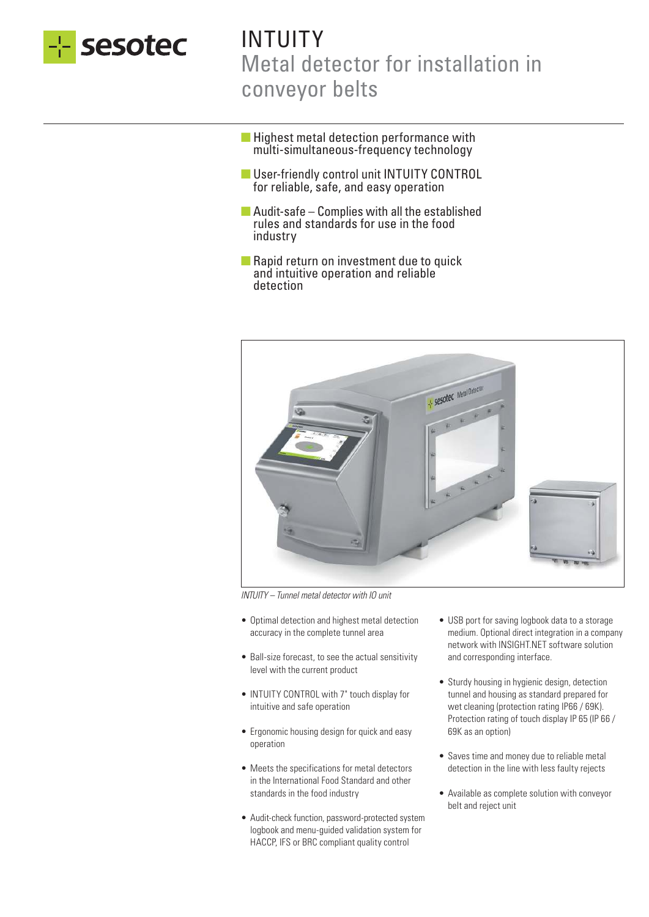

# INTUITY Metal detector for installation in conveyor belts

- Highest metal detection performance with multi-simultaneous-frequency technology
- User-friendly control unit INTUITY CONTROL for reliable, safe, and easy operation
- $\blacksquare$  Audit-safe Complies with all the established rules and standards for use in the food industry
- Rapid return on investment due to quick and intuitive operation and reliable detection



INTUITY – Tunnel metal detector with IO unit

- Optimal detection and highest metal detection accuracy in the complete tunnel area
- Ball-size forecast, to see the actual sensitivity level with the current product
- INTUITY CONTROL with 7" touch display for intuitive and safe operation
- Ergonomic housing design for quick and easy operation
- Meets the specifications for metal detectors in the International Food Standard and other standards in the food industry
- Audit-check function, password-protected system logbook and menu-guided validation system for HACCP, IFS or BRC compliant quality control
- USB port for saving logbook data to a storage medium. Optional direct integration in a company network with INSIGHT.NET software solution and corresponding interface.
- Sturdy housing in hygienic design, detection tunnel and housing as standard prepared for wet cleaning (protection rating IP66 / 69K). Protection rating of touch display IP 65 (IP 66 / 69K as an option)
- Saves time and money due to reliable metal detection in the line with less faulty rejects
- Available as complete solution with conveyor belt and reject unit